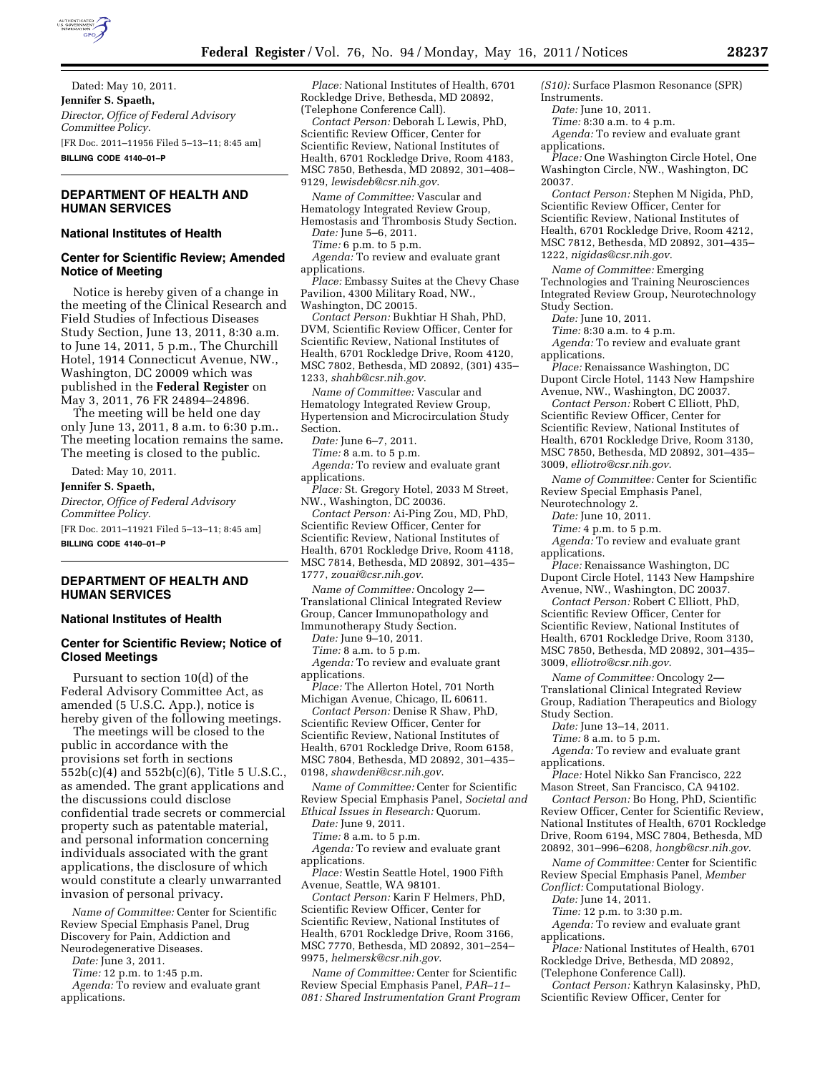

Dated: May 10, 2011. **Jennifer S. Spaeth,**  *Director, Office of Federal Advisory Committee Policy.*  [FR Doc. 2011–11956 Filed 5–13–11; 8:45 am] **BILLING CODE 4140–01–P** 

## **DEPARTMENT OF HEALTH AND HUMAN SERVICES**

#### **National Institutes of Health**

## **Center for Scientific Review; Amended Notice of Meeting**

Notice is hereby given of a change in the meeting of the Clinical Research and Field Studies of Infectious Diseases Study Section, June 13, 2011, 8:30 a.m. to June 14, 2011, 5 p.m., The Churchill Hotel, 1914 Connecticut Avenue, NW., Washington, DC 20009 which was published in the **Federal Register** on May 3, 2011, 76 FR 24894–24896.

The meeting will be held one day only June 13, 2011, 8 a.m. to 6:30 p.m.. The meeting location remains the same. The meeting is closed to the public.

Dated: May 10, 2011.

**Jennifer S. Spaeth,** 

*Director, Office of Federal Advisory Committee Policy.* 

[FR Doc. 2011–11921 Filed 5–13–11; 8:45 am] **BILLING CODE 4140–01–P** 

## **DEPARTMENT OF HEALTH AND HUMAN SERVICES**

## **National Institutes of Health**

## **Center for Scientific Review; Notice of Closed Meetings**

Pursuant to section 10(d) of the Federal Advisory Committee Act, as amended (5 U.S.C. App.), notice is hereby given of the following meetings.

The meetings will be closed to the public in accordance with the provisions set forth in sections 552b(c)(4) and 552b(c)(6), Title 5 U.S.C., as amended. The grant applications and the discussions could disclose confidential trade secrets or commercial property such as patentable material, and personal information concerning individuals associated with the grant applications, the disclosure of which would constitute a clearly unwarranted invasion of personal privacy.

*Name of Committee:* Center for Scientific Review Special Emphasis Panel, Drug Discovery for Pain, Addiction and Neurodegenerative Diseases.

*Date:* June 3, 2011.

*Time:* 12 p.m. to 1:45 p.m.

*Agenda:* To review and evaluate grant applications.

*Place:* National Institutes of Health, 6701 Rockledge Drive, Bethesda, MD 20892, (Telephone Conference Call).

*Contact Person:* Deborah L Lewis, PhD, Scientific Review Officer, Center for Scientific Review, National Institutes of Health, 6701 Rockledge Drive, Room 4183, MSC 7850, Bethesda, MD 20892, 301–408– 9129, *[lewisdeb@csr.nih.gov](mailto:lewisdeb@csr.nih.gov)*.

*Name of Committee:* Vascular and Hematology Integrated Review Group, Hemostasis and Thrombosis Study Section.

*Date:* June 5–6, 2011.

*Time:* 6 p.m. to 5 p.m. *Agenda:* To review and evaluate grant

applications.

*Place:* Embassy Suites at the Chevy Chase Pavilion, 4300 Military Road, NW., Washington, DC 20015.

*Contact Person:* Bukhtiar H Shah, PhD, DVM, Scientific Review Officer, Center for Scientific Review, National Institutes of Health, 6701 Rockledge Drive, Room 4120, MSC 7802, Bethesda, MD 20892, (301) 435– 1233, *[shahb@csr.nih.gov](mailto:shahb@csr.nih.gov)*.

*Name of Committee:* Vascular and Hematology Integrated Review Group, Hypertension and Microcirculation Study Section.

*Date:* June 6–7, 2011.

*Time:* 8 a.m. to 5 p.m.

*Agenda:* To review and evaluate grant applications.

*Place:* St. Gregory Hotel, 2033 M Street, NW., Washington, DC 20036.

*Contact Person:* Ai-Ping Zou, MD, PhD, Scientific Review Officer, Center for Scientific Review, National Institutes of Health, 6701 Rockledge Drive, Room 4118, MSC 7814, Bethesda, MD 20892, 301–435– 1777, *[zouai@csr.nih.gov](mailto:zouai@csr.nih.gov)*.

*Name of Committee:* Oncology 2— Translational Clinical Integrated Review Group, Cancer Immunopathology and Immunotherapy Study Section.

*Date:* June 9–10, 2011.

*Time:* 8 a.m. to 5 p.m.

*Agenda:* To review and evaluate grant applications.

*Place:* The Allerton Hotel, 701 North Michigan Avenue, Chicago, IL 60611.

*Contact Person:* Denise R Shaw, PhD, Scientific Review Officer, Center for Scientific Review, National Institutes of Health, 6701 Rockledge Drive, Room 6158, MSC 7804, Bethesda, MD 20892, 301–435– 0198, *[shawdeni@csr.nih.gov](mailto:shawdeni@csr.nih.gov)*.

*Name of Committee:* Center for Scientific Review Special Emphasis Panel, *Societal and Ethical Issues in Research:* Quorum.

*Date:* June 9, 2011.

*Time:* 8 a.m. to 5 p.m.

*Agenda:* To review and evaluate grant applications.

*Place:* Westin Seattle Hotel, 1900 Fifth Avenue, Seattle, WA 98101.

*Contact Person:* Karin F Helmers, PhD, Scientific Review Officer, Center for Scientific Review, National Institutes of Health, 6701 Rockledge Drive, Room 3166, MSC 7770, Bethesda, MD 20892, 301–254– 9975, *[helmersk@csr.nih.gov](mailto:helmersk@csr.nih.gov)*.

*Name of Committee:* Center for Scientific Review Special Emphasis Panel, *PAR–11– 081: Shared Instrumentation Grant Program*  *(S10):* Surface Plasmon Resonance (SPR) Instruments.

*Date:* June 10, 2011.

*Time:* 8:30 a.m. to 4 p.m. *Agenda:* To review and evaluate grant

applications.

*Place:* One Washington Circle Hotel, One Washington Circle, NW., Washington, DC 20037.

*Contact Person:* Stephen M Nigida, PhD, Scientific Review Officer, Center for Scientific Review, National Institutes of Health, 6701 Rockledge Drive, Room 4212, MSC 7812, Bethesda, MD 20892, 301–435– 1222, *[nigidas@csr.nih.gov](mailto:nigidas@csr.nih.gov)*.

*Name of Committee:* Emerging Technologies and Training Neurosciences Integrated Review Group, Neurotechnology Study Section.

*Date:* June 10, 2011.

*Time:* 8:30 a.m. to 4 p.m.

*Agenda:* To review and evaluate grant applications.

*Place:* Renaissance Washington, DC Dupont Circle Hotel, 1143 New Hampshire Avenue, NW., Washington, DC 20037.

*Contact Person:* Robert C Elliott, PhD, Scientific Review Officer, Center for Scientific Review, National Institutes of Health, 6701 Rockledge Drive, Room 3130, MSC 7850, Bethesda, MD 20892, 301–435– 3009, *[elliotro@csr.nih.gov](mailto:elliotro@csr.nih.gov)*.

*Name of Committee:* Center for Scientific Review Special Emphasis Panel,

Neurotechnology 2.

*Date:* June 10, 2011.

*Time:* 4 p.m. to 5 p.m.

*Agenda:* To review and evaluate grant applications.

*Place:* Renaissance Washington, DC Dupont Circle Hotel, 1143 New Hampshire Avenue, NW., Washington, DC 20037.

*Contact Person:* Robert C Elliott, PhD, Scientific Review Officer, Center for Scientific Review, National Institutes of Health, 6701 Rockledge Drive, Room 3130, MSC 7850, Bethesda, MD 20892, 301–435– 3009, *[elliotro@csr.nih.gov](mailto:elliotro@csr.nih.gov)*.

*Name of Committee:* Oncology 2— Translational Clinical Integrated Review Group, Radiation Therapeutics and Biology Study Section.

*Date:* June 13–14, 2011.

*Time:* 8 a.m. to 5 p.m.

*Agenda:* To review and evaluate grant applications.

*Place:* Hotel Nikko San Francisco, 222 Mason Street, San Francisco, CA 94102.

*Contact Person:* Bo Hong, PhD, Scientific Review Officer, Center for Scientific Review, National Institutes of Health, 6701 Rockledge Drive, Room 6194, MSC 7804, Bethesda, MD 20892, 301–996–6208, *[hongb@csr.nih.gov](mailto:hongb@csr.nih.gov)*.

*Name of Committee:* Center for Scientific Review Special Emphasis Panel, *Member Conflict:* Computational Biology.

*Date:* June 14, 2011.

*Time:* 12 p.m. to 3:30 p.m.

*Agenda:* To review and evaluate grant applications.

*Place:* National Institutes of Health, 6701 Rockledge Drive, Bethesda, MD 20892, (Telephone Conference Call).

*Contact Person:* Kathryn Kalasinsky, PhD, Scientific Review Officer, Center for